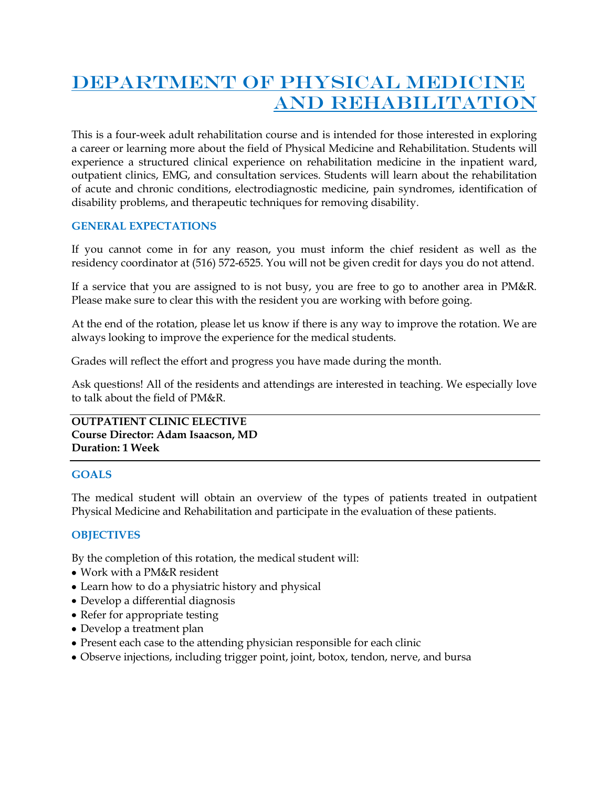# DEPARTMENT OF PHYSICAL MEDICINE AND REHABILITATION

This is a four-week adult rehabilitation course and is intended for those interested in exploring a career or learning more about the field of Physical Medicine and Rehabilitation. Students will experience a structured clinical experience on rehabilitation medicine in the inpatient ward, outpatient clinics, EMG, and consultation services. Students will learn about the rehabilitation of acute and chronic conditions, electrodiagnostic medicine, pain syndromes, identification of disability problems, and therapeutic techniques for removing disability.

## **GENERAL EXPECTATIONS**

If you cannot come in for any reason, you must inform the chief resident as well as the residency coordinator at (516) 572-6525. You will not be given credit for days you do not attend.

If a service that you are assigned to is not busy, you are free to go to another area in PM&R. Please make sure to clear this with the resident you are working with before going.

At the end of the rotation, please let us know if there is any way to improve the rotation. We are always looking to improve the experience for the medical students.

Grades will reflect the effort and progress you have made during the month.

Ask questions! All of the residents and attendings are interested in teaching. We especially love to talk about the field of PM&R.

**OUTPATIENT CLINIC ELECTIVE Course Director: Adam Isaacson, MD Duration: 1 Week**

## **GOALS**

The medical student will obtain an overview of the types of patients treated in outpatient Physical Medicine and Rehabilitation and participate in the evaluation of these patients.

## **OBJECTIVES**

By the completion of this rotation, the medical student will:

- Work with a PM&R resident
- Learn how to do a physiatric history and physical
- Develop a differential diagnosis
- Refer for appropriate testing
- Develop a treatment plan
- Present each case to the attending physician responsible for each clinic
- Observe injections, including trigger point, joint, botox, tendon, nerve, and bursa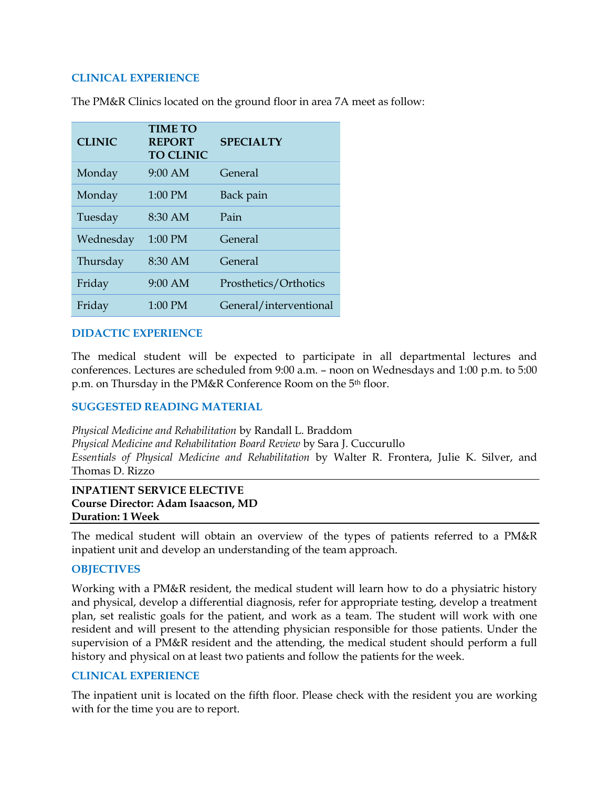#### **CLINICAL EXPERIENCE**

| <b>CLINIC</b> | <b>TIME TO</b><br><b>REPORT</b><br><b>TO CLINIC</b> | <b>SPECIALTY</b>       |
|---------------|-----------------------------------------------------|------------------------|
| Monday        | $9:00$ AM                                           | General                |
| Monday        | 1:00 PM                                             | Back pain              |
| Tuesday       | 8:30 AM                                             | Pain                   |
| Wednesday     | 1:00 PM                                             | General                |
| Thursday      | 8:30 AM                                             | General                |
| Friday        | $9:00$ AM                                           | Prosthetics/Orthotics  |
| Friday        | 1:00 PM                                             | General/interventional |

The PM&R Clinics located on the ground floor in area 7A meet as follow:

#### **DIDACTIC EXPERIENCE**

The medical student will be expected to participate in all departmental lectures and conferences. Lectures are scheduled from 9:00 a.m. – noon on Wednesdays and 1:00 p.m. to 5:00 p.m. on Thursday in the PM&R Conference Room on the 5th floor.

#### **SUGGESTED READING MATERIAL**

*Physical Medicine and Rehabilitation* by Randall L. Braddom *Physical Medicine and Rehabilitation Board Review* by Sara J. Cuccurullo *Essentials of Physical Medicine and Rehabilitation* by Walter R. Frontera, Julie K. Silver, and Thomas D. Rizzo

#### **INPATIENT SERVICE ELECTIVE Course Director: Adam Isaacson, MD Duration: 1 Week**

The medical student will obtain an overview of the types of patients referred to a PM&R inpatient unit and develop an understanding of the team approach.

### **OBJECTIVES**

Working with a PM&R resident, the medical student will learn how to do a physiatric history and physical, develop a differential diagnosis, refer for appropriate testing, develop a treatment plan, set realistic goals for the patient, and work as a team. The student will work with one resident and will present to the attending physician responsible for those patients. Under the supervision of a PM&R resident and the attending, the medical student should perform a full history and physical on at least two patients and follow the patients for the week.

### **CLINICAL EXPERIENCE**

The inpatient unit is located on the fifth floor. Please check with the resident you are working with for the time you are to report.